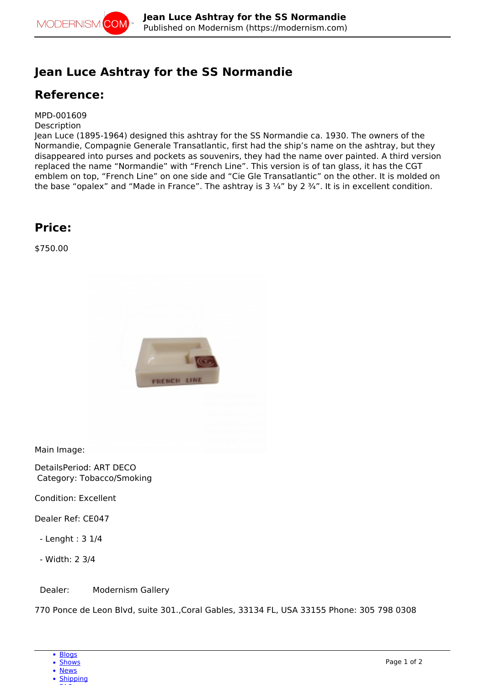

## **Jean Luce Ashtray for the SS Normandie**

## **Reference:**

MPD-001609

**Description** 

Jean Luce (1895-1964) designed this ashtray for the SS Normandie ca. 1930. The owners of the Normandie, Compagnie Generale Transatlantic, first had the ship's name on the ashtray, but they disappeared into purses and pockets as souvenirs, they had the name over painted. A third version replaced the name "Normandie" with "French Line". This version is of tan glass, it has the CGT emblem on top, "French Line" on one side and "Cie Gle Transatlantic" on the other. It is molded on the base "opalex" and "Made in France". The ashtray is  $3\frac{1}{4}$ " by  $2\frac{3}{4}$ ". It is in excellent condition.

## **Price:**

\$750.00



Main Image:

DetailsPeriod: ART DECO Category: Tobacco/Smoking

Condition: Excellent

Dealer Ref: CE047

- Lenght : 3 1/4

- Width: 2 3/4

Dealer: Modernism Gallery

770 Ponce de Leon Blvd, suite 301.,Coral Gables, 33134 FL, USA 33155 Phone: 305 798 0308

<sup>•</sup> [News](http://modernism.com/articles)

<sup>•</sup> [Shipping](https://modernism.com/modernism/how-ship-your-items)  $-$